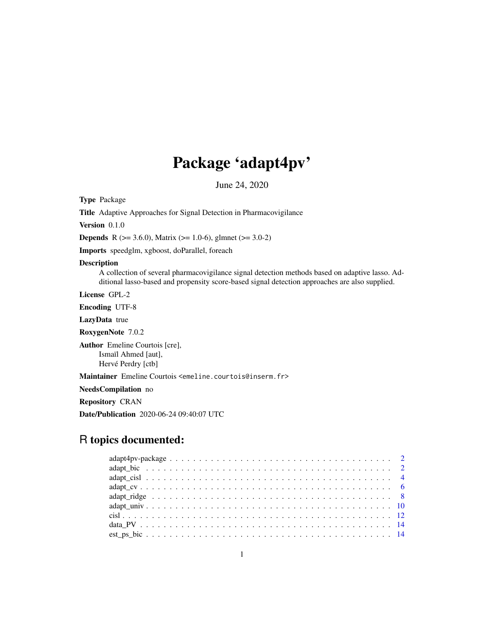# Package 'adapt4pv'

June 24, 2020

Type Package

Title Adaptive Approaches for Signal Detection in Pharmacovigilance

Version 0.1.0

**Depends** R ( $>= 3.6.0$ ), Matrix ( $>= 1.0-6$ ), glmnet ( $>= 3.0-2$ )

Imports speedglm, xgboost, doParallel, foreach

#### Description

A collection of several pharmacovigilance signal detection methods based on adaptive lasso. Additional lasso-based and propensity score-based signal detection approaches are also supplied.

License GPL-2

Encoding UTF-8

LazyData true

RoxygenNote 7.0.2

Author Emeline Courtois [cre], Ismaïl Ahmed [aut], Hervé Perdry [ctb]

Maintainer Emeline Courtois <emeline.courtois@inserm.fr>

NeedsCompilation no

Repository CRAN

Date/Publication 2020-06-24 09:40:07 UTC

# R topics documented:

| $adapt4pv-package \ldots \ldots \ldots \ldots \ldots \ldots \ldots \ldots \ldots \ldots \ldots \ldots 2$ |  |
|----------------------------------------------------------------------------------------------------------|--|
|                                                                                                          |  |
|                                                                                                          |  |
|                                                                                                          |  |
|                                                                                                          |  |
|                                                                                                          |  |
|                                                                                                          |  |
|                                                                                                          |  |
|                                                                                                          |  |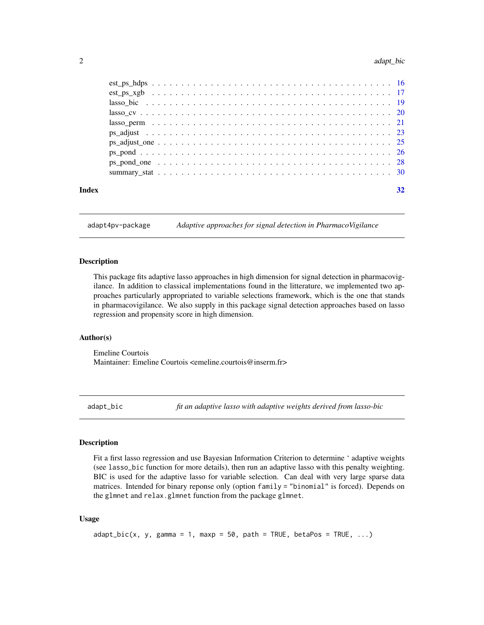<span id="page-1-0"></span>

adapt4pv-package *Adaptive approaches for signal detection in PharmacoVigilance*

#### Description

This package fits adaptive lasso approaches in high dimension for signal detection in pharmacovigilance. In addition to classical implementations found in the litterature, we implemented two approaches particularly appropriated to variable selections framework, which is the one that stands in pharmacovigilance. We also supply in this package signal detection approaches based on lasso regression and propensity score in high dimension.

# Author(s)

Emeline Courtois Maintainer: Emeline Courtois <emeline.courtois@inserm.fr>

adapt\_bic *fit an adaptive lasso with adaptive weights derived from lasso-bic*

# Description

Fit a first lasso regression and use Bayesian Information Criterion to determine ' adaptive weights (see lasso\_bic function for more details), then run an adaptive lasso with this penalty weighting. BIC is used for the adaptive lasso for variable selection. Can deal with very large sparse data matrices. Intended for binary reponse only (option family = "binomial" is forced). Depends on the glmnet and relax.glmnet function from the package glmnet.

#### Usage

```
adapt\_bic(x, y, gamma = 1, maxp = 50, path = TRUE, betaPos = TRUE, ...)
```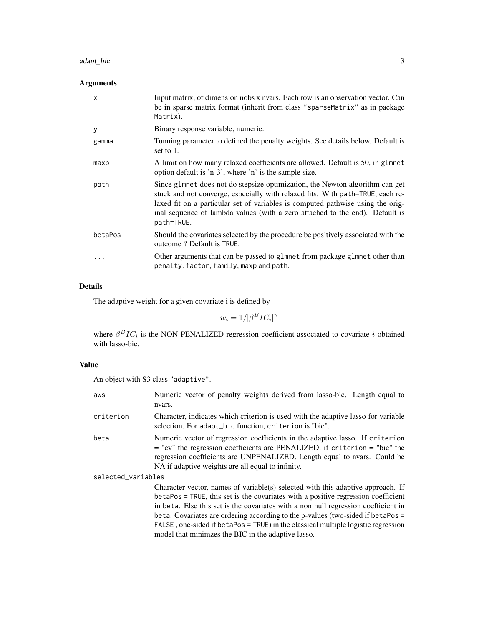#### adapt\_bic 3

# Arguments

| $\mathsf{x}$ | Input matrix, of dimension nobs x nyars. Each row is an observation vector. Can<br>be in sparse matrix format (inherit from class "sparseMatrix" as in package<br>Matrix).                                                                                                                                                                      |
|--------------|-------------------------------------------------------------------------------------------------------------------------------------------------------------------------------------------------------------------------------------------------------------------------------------------------------------------------------------------------|
| У            | Binary response variable, numeric.                                                                                                                                                                                                                                                                                                              |
| gamma        | Tunning parameter to defined the penalty weights. See details below. Default is<br>set to 1.                                                                                                                                                                                                                                                    |
| maxp         | A limit on how many relaxed coefficients are allowed. Default is 50, in g1mnet<br>option default is 'n-3', where 'n' is the sample size.                                                                                                                                                                                                        |
| path         | Since glmnet does not do stepsize optimization, the Newton algorithm can get<br>stuck and not converge, especially with relaxed fits. With path=TRUE, each re-<br>laxed fit on a particular set of variables is computed pathwise using the orig-<br>inal sequence of lambda values (with a zero attached to the end). Default is<br>path=TRUE. |
| betaPos      | Should the covariates selected by the procedure be positively associated with the<br>outcome? Default is TRUE.                                                                                                                                                                                                                                  |
| $\ddotsc$    | Other arguments that can be passed to glmnet from package glmnet other than<br>penalty.factor, family, maxp and path.                                                                                                                                                                                                                           |

# Details

The adaptive weight for a given covariate i is defined by

$$
w_i = 1/|\beta^B IC_i|^{\gamma}
$$

where  $\beta^BIC_i$  is the NON PENALIZED regression coefficient associated to covariate i obtained with lasso-bic.

# Value

An object with S3 class "adaptive".

| aws                | Numeric vector of penalty weights derived from lasso-bic. Length equal to<br>nvars.                                                                                                                                                                                                                                                                                                                                                                                                      |
|--------------------|------------------------------------------------------------------------------------------------------------------------------------------------------------------------------------------------------------------------------------------------------------------------------------------------------------------------------------------------------------------------------------------------------------------------------------------------------------------------------------------|
| criterion          | Character, indicates which criterion is used with the adaptive lasso for variable<br>selection. For adapt_bic function, criterion is "bic".                                                                                                                                                                                                                                                                                                                                              |
| beta               | Numeric vector of regression coefficients in the adaptive lasso. If criterion<br>$=$ "cv" the regression coefficients are PENALIZED, if criterion $=$ "bic" the<br>regression coefficients are UNPENALIZED. Length equal to nyars. Could be<br>NA if adaptive weights are all equal to infinity.                                                                                                                                                                                         |
| selected_variables |                                                                                                                                                                                                                                                                                                                                                                                                                                                                                          |
|                    | Character vector, names of variable(s) selected with this adaptive approach. If<br>betaPos = TRUE, this set is the covariates with a positive regression coefficient<br>in beta. Else this set is the covariates with a non null regression coefficient in<br>beta. Covariates are ordering according to the p-values (two-sided if betaPos =<br>FALSE, one-sided if betaPos = TRUE) in the classical multiple logistic regression<br>model that minimzes the BIC in the adaptive lasso. |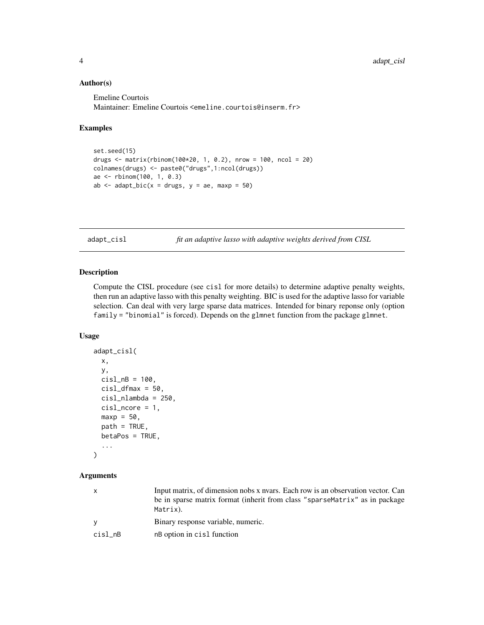# Author(s)

Emeline Courtois Maintainer: Emeline Courtois <emeline.courtois@inserm.fr>

#### Examples

```
set.seed(15)
drugs <- matrix(rbinom(100*20, 1, 0.2), nrow = 100, ncol = 20)
colnames(drugs) <- paste0("drugs",1:ncol(drugs))
ae <- rbinom(100, 1, 0.3)
ab \le adapt_bic(x = drugs, y = ae, maxp = 50)
```
adapt\_cisl *fit an adaptive lasso with adaptive weights derived from CISL*

# Description

Compute the CISL procedure (see cisl for more details) to determine adaptive penalty weights, then run an adaptive lasso with this penalty weighting. BIC is used for the adaptive lasso for variable selection. Can deal with very large sparse data matrices. Intended for binary reponse only (option family = "binomial" is forced). Depends on the glmnet function from the package glmnet.

#### Usage

```
adapt_cisl(
 x,
 y,
  cisl_nB = 100,
  cisl_dfmax = 50,
 cisl_nlambda = 250,
  cisl_ncore = 1,
 maxp = 50,
 path = TRUE,
 betaPos = TRUE,
  ...
)
```
#### Arguments

| $\mathsf{x}$ | Input matrix, of dimension nobs x nyars. Each row is an observation vector. Can<br>be in sparse matrix format (inherit from class "sparse Matrix" as in package<br>Matrix). |
|--------------|-----------------------------------------------------------------------------------------------------------------------------------------------------------------------------|
| <b>V</b>     | Binary response variable, numeric.                                                                                                                                          |
| cisl_nB      | nB option in cisl function                                                                                                                                                  |

<span id="page-3-0"></span>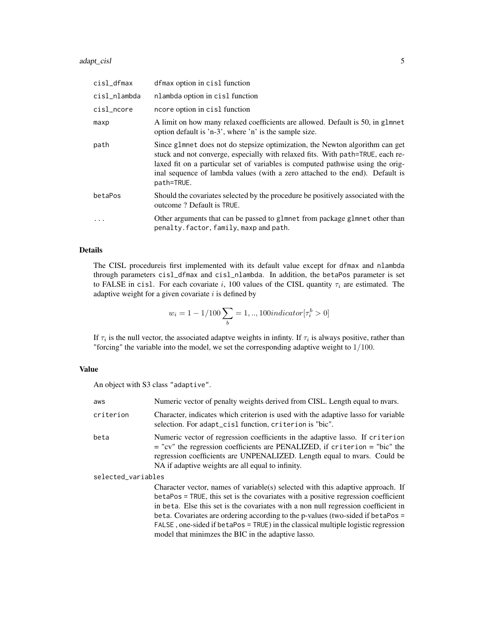#### adapt\_cisl 5

| cisl_dfmax   | dfmax option in cisl function                                                                                                                                                                                                                                                                                                                   |
|--------------|-------------------------------------------------------------------------------------------------------------------------------------------------------------------------------------------------------------------------------------------------------------------------------------------------------------------------------------------------|
| cisl_nlambda | nlambda option in cisl function                                                                                                                                                                                                                                                                                                                 |
| cisl_ncore   | ncore option in cisl function                                                                                                                                                                                                                                                                                                                   |
| maxp         | A limit on how many relaxed coefficients are allowed. Default is 50, in glmnet<br>option default is 'n-3', where 'n' is the sample size.                                                                                                                                                                                                        |
| path         | Since glmnet does not do stepsize optimization, the Newton algorithm can get<br>stuck and not converge, especially with relaxed fits. With path=TRUE, each re-<br>laxed fit on a particular set of variables is computed pathwise using the orig-<br>inal sequence of lambda values (with a zero attached to the end). Default is<br>path=TRUE. |
| betaPos      | Should the covariates selected by the procedure be positively associated with the<br>outcome? Default is TRUE.                                                                                                                                                                                                                                  |
|              | Other arguments that can be passed to glmnet from package glmnet other than<br>penalty.factor, family, maxp and path.                                                                                                                                                                                                                           |

#### Details

The CISL procedureis first implemented with its default value except for dfmax and nlambda through parameters cisl\_dfmax and cisl\_nlambda. In addition, the betaPos parameter is set to FALSE in cisl. For each covariate i, 100 values of the CISL quantity  $\tau_i$  are estimated. The adaptive weight for a given covariate  $i$  is defined by

$$
w_i=1-1/100\sum_b=1,..,100 indicator[\tau_i^b>0]
$$

If  $\tau_i$  is the null vector, the associated adaptve weights in infinty. If  $\tau_i$  is always positive, rather than "forcing" the variable into the model, we set the corresponding adaptive weight to 1/100.

# Value

An object with S3 class "adaptive".

| aws                | Numeric vector of penalty weights derived from CISL. Length equal to nvars.                                                                                                                                                                                                                      |
|--------------------|--------------------------------------------------------------------------------------------------------------------------------------------------------------------------------------------------------------------------------------------------------------------------------------------------|
| criterion          | Character, indicates which criterion is used with the adaptive lasso for variable<br>selection. For adapt_cisl function, criterion is "bic".                                                                                                                                                     |
| beta               | Numeric vector of regression coefficients in the adaptive lasso. If criterion<br>$=$ "cv" the regression coefficients are PENALIZED, if criterion $=$ "bic" the<br>regression coefficients are UNPENALIZED. Length equal to nvars. Could be<br>NA if adaptive weights are all equal to infinity. |
| selected_variables |                                                                                                                                                                                                                                                                                                  |
|                    | Character vector, names of variable(s) selected with this adaptive approach. If<br>betaPos = TRUE, this set is the covariates with a positive regression coefficient<br>in beta. Else this set is the covariates with a non null regression coefficient in                                       |

in beta. Else this set is the covariates with a non null regression coefficient in beta. Covariates are ordering according to the p-values (two-sided if betaPos = FALSE , one-sided if betaPos = TRUE) in the classical multiple logistic regression model that minimzes the BIC in the adaptive lasso.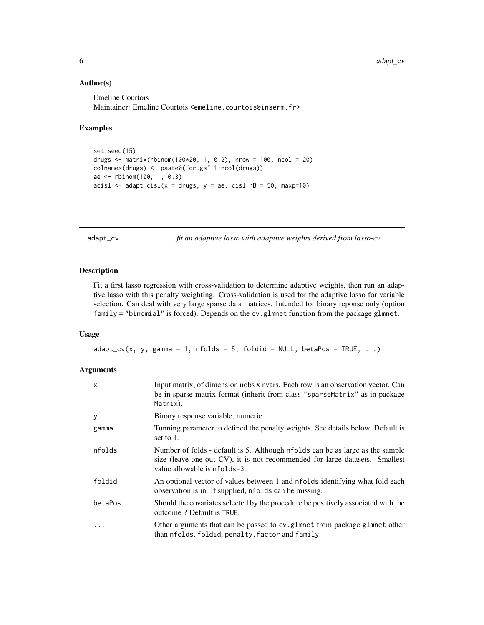#### Author(s)

Emeline Courtois Maintainer: Emeline Courtois <emeline.courtois@inserm.fr>

# Examples

```
set.seed(15)
drugs <- matrix(rbinom(100*20, 1, 0.2), nrow = 100, ncol = 20)
colnames(drugs) <- paste0("drugs",1:ncol(drugs))
ae <- rbinom(100, 1, 0.3)
acisl \leftarrow adapt\_cisl(x = drugs, y = ae, cisl\_nB = 50, maxp=10)
```
adapt\_cv *fit an adaptive lasso with adaptive weights derived from lasso-cv*

#### Description

Fit a first lasso regression with cross-validation to determine adaptive weights, then run an adaptive lasso with this penalty weighting. Cross-validation is used for the adaptive lasso for variable selection. Can deal with very large sparse data matrices. Intended for binary reponse only (option family = "binomial" is forced). Depends on the cv.glmnet function from the package glmnet.

### Usage

 $adapt_cv(x, y, gamma = 1, nfolds = 5, foldid = NULL, betaPos = TRUE, ...)$ 

#### Arguments

| $\mathsf{x}$ | Input matrix, of dimension nobs x nvars. Each row is an observation vector. Can<br>be in sparse matrix format (inherit from class "sparseMatrix" as in package<br>Matrix).                   |
|--------------|----------------------------------------------------------------------------------------------------------------------------------------------------------------------------------------------|
| y            | Binary response variable, numeric.                                                                                                                                                           |
| gamma        | Tunning parameter to defined the penalty weights. See details below. Default is<br>set to 1.                                                                                                 |
| nfolds       | Number of folds - default is 5. Although nfolds can be as large as the sample<br>size (leave-one-out CV), it is not recommended for large datasets. Smallest<br>value allowable is nfolds=3. |
| foldid       | An optional vector of values between 1 and nfolds identifying what fold each<br>observation is in. If supplied, nfolds can be missing.                                                       |
| betaPos      | Should the covariates selected by the procedure be positively associated with the<br>outcome? Default is TRUE.                                                                               |
| $\cdots$     | Other arguments that can be passed to cv.g1mnet from package g1mnet other<br>than nfolds, foldid, penalty. factor and family.                                                                |

<span id="page-5-0"></span>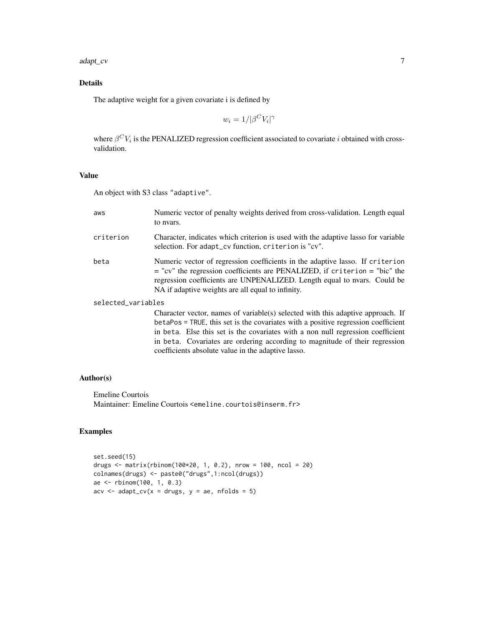#### adapt\_cv 7

# Details

The adaptive weight for a given covariate i is defined by

$$
w_i = 1/|\beta^C V_i|^\gamma
$$

where  $\beta^C V_i$  is the PENALIZED regression coefficient associated to covariate i obtained with crossvalidation.

# Value

An object with S3 class "adaptive".

| aws                | Numeric vector of penalty weights derived from cross-validation. Length equal<br>to nyars.                                                                                                                                                                                                                                             |
|--------------------|----------------------------------------------------------------------------------------------------------------------------------------------------------------------------------------------------------------------------------------------------------------------------------------------------------------------------------------|
| criterion          | Character, indicates which criterion is used with the adaptive lasso for variable<br>selection. For adapt_cv function, criterion is "cv".                                                                                                                                                                                              |
| beta               | Numeric vector of regression coefficients in the adaptive lasso. If criterion<br>$=$ "cv" the regression coefficients are PENALIZED, if criterion $=$ "bic" the<br>regression coefficients are UNPENALIZED. Length equal to nvars. Could be<br>NA if adaptive weights are all equal to infinity.                                       |
| selected_variables |                                                                                                                                                                                                                                                                                                                                        |
|                    | Character vector, names of variable(s) selected with this adaptive approach. If<br>betaPos = TRUE, this set is the covariates with a positive regression coefficient<br>in beta. Else this set is the covariates with a non null regression coefficient<br>in beta. Covariates are ordering according to magnitude of their regression |

coefficients absolute value in the adaptive lasso.

# Author(s)

Emeline Courtois Maintainer: Emeline Courtois <emeline.courtois@inserm.fr>

# Examples

```
set.seed(15)
drugs <- matrix(rbinom(100*20, 1, 0.2), nrow = 100, ncol = 20)
colnames(drugs) <- paste0("drugs",1:ncol(drugs))
ae <- rbinom(100, 1, 0.3)
\text{acv} \leq \text{adapt\_cv}(x = \text{drugs}, y = \text{ae}, \text{nfolds} = 5)
```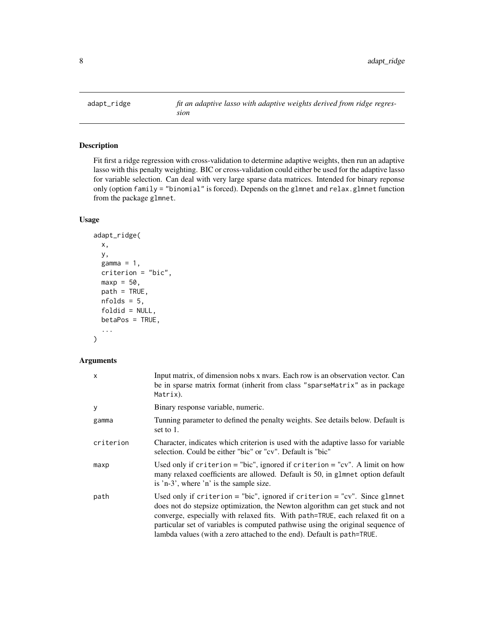<span id="page-7-0"></span>

# Description

Fit first a ridge regression with cross-validation to determine adaptive weights, then run an adaptive lasso with this penalty weighting. BIC or cross-validation could either be used for the adaptive lasso for variable selection. Can deal with very large sparse data matrices. Intended for binary reponse only (option family = "binomial" is forced). Depends on the glmnet and relax.glmnet function from the package glmnet.

#### Usage

```
adapt_ridge(
 x,
 y,
 gamma = 1,
  criterion = "bic",
 maxp = 50,
 path = TRUE,
 nfolds = 5,
 foldid = NULL,
 betaPos = TRUE,
  ...
)
```
# Arguments

| X         | Input matrix, of dimension nobs x nyars. Each row is an observation vector. Can<br>be in sparse matrix format (inherit from class "sparseMatrix" as in package<br>Matrix).                                                                                                                                                                                                                               |
|-----------|----------------------------------------------------------------------------------------------------------------------------------------------------------------------------------------------------------------------------------------------------------------------------------------------------------------------------------------------------------------------------------------------------------|
| y         | Binary response variable, numeric.                                                                                                                                                                                                                                                                                                                                                                       |
| gamma     | Tunning parameter to defined the penalty weights. See details below. Default is<br>set to 1.                                                                                                                                                                                                                                                                                                             |
| criterion | Character, indicates which criterion is used with the adaptive lasso for variable<br>selection. Could be either "bic" or "cv". Default is "bic"                                                                                                                                                                                                                                                          |
| maxp      | Used only if criterion = "bic", ignored if criterion = "cv". A limit on how<br>many relaxed coefficients are allowed. Default is 50, in glmnet option default<br>is 'n-3', where 'n' is the sample size.                                                                                                                                                                                                 |
| path      | Used only if criterion = "bic", ignored if criterion = "cv". Since glmnet<br>does not do stepsize optimization, the Newton algorithm can get stuck and not<br>converge, especially with relaxed fits. With path=TRUE, each relaxed fit on a<br>particular set of variables is computed pathwise using the original sequence of<br>lambda values (with a zero attached to the end). Default is path=TRUE. |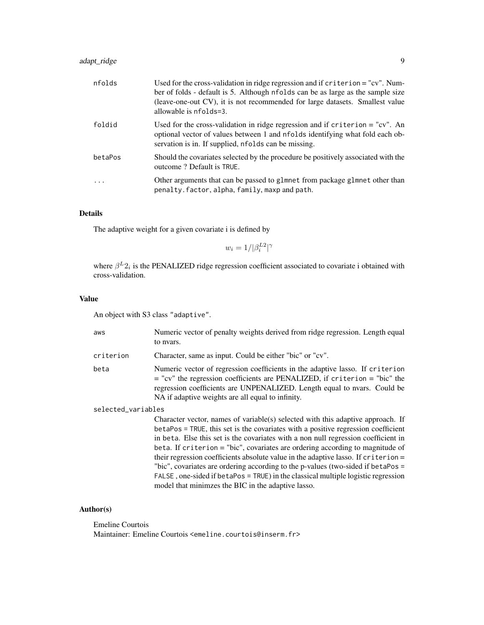# adapt\_ridge 9

| nfolds  | Used for the cross-validation in ridge regression and if $criterion = "cv"$ . Num-<br>ber of folds - default is 5. Although nfolds can be as large as the sample size<br>(leave-one-out CV), it is not recommended for large datasets. Smallest value<br>allowable is nfolds=3. |
|---------|---------------------------------------------------------------------------------------------------------------------------------------------------------------------------------------------------------------------------------------------------------------------------------|
| foldid  | Used for the cross-validation in ridge regression and if criterion $=$ "cv". An<br>optional vector of values between 1 and nfolds identifying what fold each ob-<br>servation is in. If supplied, nfolds can be missing.                                                        |
| betaPos | Should the covariates selected by the procedure be positively associated with the<br>outcome? Default is TRUE.                                                                                                                                                                  |
|         | Other arguments that can be passed to glmnet from package glmnet other than<br>penalty.factor, alpha, family, maxp and path.                                                                                                                                                    |

# Details

The adaptive weight for a given covariate i is defined by

$$
w_i = 1/|\beta_i^{L2}|^{\gamma}
$$

where  $\beta^L 2_i$  is the PENALIZED ridge regression coefficient associated to covariate i obtained with cross-validation.

#### Value

An object with S3 class "adaptive".

| aws                | Numeric vector of penalty weights derived from ridge regression. Length equal<br>to nyars.                                                                                                                                                                                                       |
|--------------------|--------------------------------------------------------------------------------------------------------------------------------------------------------------------------------------------------------------------------------------------------------------------------------------------------|
| criterion          | Character, same as input. Could be either "bic" or "cv".                                                                                                                                                                                                                                         |
| beta               | Numeric vector of regression coefficients in the adaptive lasso. If criterion<br>$=$ "cv" the regression coefficients are PENALIZED, if criterion $=$ "bic" the<br>regression coefficients are UNPENALIZED. Length equal to nvars. Could be<br>NA if adaptive weights are all equal to infinity. |
| selected_variables |                                                                                                                                                                                                                                                                                                  |
|                    | Character vector, names of variable(s) selected with this adaptive approach. If<br>betaPos = TRUE, this set is the covariates with a positive regression coefficient                                                                                                                             |

in beta. Else this set is the covariates with a non null regression coefficient in beta. If criterion = "bic", covariates are ordering according to magnitude of their regression coefficients absolute value in the adaptive lasso. If criterion = "bic", covariates are ordering according to the p-values (two-sided if betaPos = FALSE , one-sided if betaPos = TRUE) in the classical multiple logistic regression model that minimzes the BIC in the adaptive lasso.

#### Author(s)

Emeline Courtois Maintainer: Emeline Courtois <emeline.courtois@inserm.fr>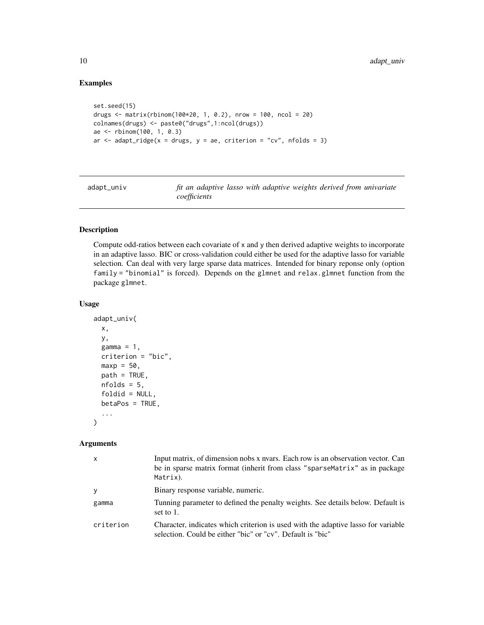# Examples

```
set.seed(15)
drugs \leq matrix(rbinom(100*20, 1, 0.2), nrow = 100, ncol = 20)
colnames(drugs) <- paste0("drugs",1:ncol(drugs))
ae <- rbinom(100, 1, 0.3)
ar \le adapt_ridge(x = drugs, y = ae, criterion = "cv", nfolds = 3)
```
adapt\_univ *fit an adaptive lasso with adaptive weights derived from univariate coefficients*

# Description

Compute odd-ratios between each covariate of x and y then derived adaptive weights to incorporate in an adaptive lasso. BIC or cross-validation could either be used for the adaptive lasso for variable selection. Can deal with very large sparse data matrices. Intended for binary reponse only (option family = "binomial" is forced). Depends on the glmnet and relax.glmnet function from the package glmnet.

#### Usage

```
adapt_univ(
  x,
 y,
  gamma = 1,
 criterion = "bic",
 maxp = 50,
 path = TRUE,
 nfolds = 5,
  foldid = NULL,betaPos = TRUE,
  ...
)
```
#### Arguments

| $\mathsf{x}$ | Input matrix, of dimension nobs x nyars. Each row is an observation vector. Can<br>be in sparse matrix format (inherit from class "sparseMatrix" as in package<br>Matrix). |
|--------------|----------------------------------------------------------------------------------------------------------------------------------------------------------------------------|
| y            | Binary response variable, numeric.                                                                                                                                         |
| gamma        | Tunning parameter to defined the penalty weights. See details below. Default is<br>set to 1.                                                                               |
| criterion    | Character, indicates which criterion is used with the adaptive lasso for variable<br>selection. Could be either "bic" or "cv". Default is "bic"                            |

<span id="page-9-0"></span>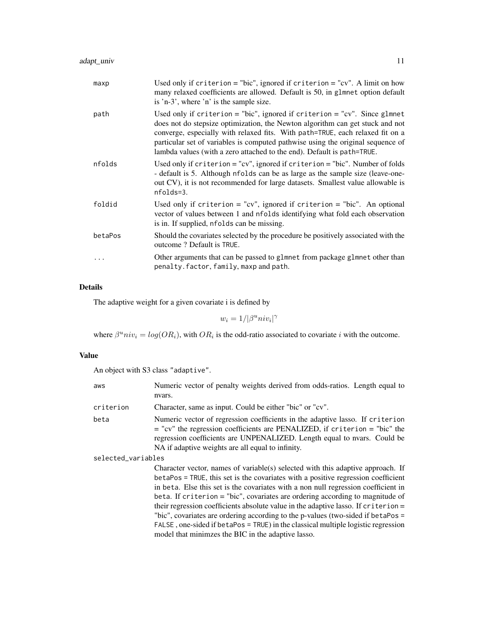| maxp    | Used only if criterion $=$ "bic", ignored if criterion $=$ "cv". A limit on how<br>many relaxed coefficients are allowed. Default is 50, in glmnet option default<br>is 'n-3', where 'n' is the sample size.                                                                                                                                                                                             |
|---------|----------------------------------------------------------------------------------------------------------------------------------------------------------------------------------------------------------------------------------------------------------------------------------------------------------------------------------------------------------------------------------------------------------|
| path    | Used only if criterion = "bic", ignored if criterion = "cv". Since glmnet<br>does not do stepsize optimization, the Newton algorithm can get stuck and not<br>converge, especially with relaxed fits. With path=TRUE, each relaxed fit on a<br>particular set of variables is computed pathwise using the original sequence of<br>lambda values (with a zero attached to the end). Default is path=TRUE. |
| nfolds  | Used only if $criterion = "cv", ignored if criterion = "bic".$ Number of folds<br>- default is 5. Although nfolds can be as large as the sample size (leave-one-<br>out CV), it is not recommended for large datasets. Smallest value allowable is<br>nfolds=3.                                                                                                                                          |
| foldid  | Used only if criterion = "cv", ignored if criterion = "bic". An optional<br>vector of values between 1 and nfolds identifying what fold each observation<br>is in. If supplied, nfolds can be missing.                                                                                                                                                                                                   |
| betaPos | Should the covariates selected by the procedure be positively associated with the<br>outcome? Default is TRUE.                                                                                                                                                                                                                                                                                           |
| .       | Other arguments that can be passed to glmnet from package glmnet other than<br>penalty.factor, family, maxp and path.                                                                                                                                                                                                                                                                                    |

# Details

The adaptive weight for a given covariate i is defined by

 $w_i = 1/|\beta^u n i v_i|^{\gamma}$ 

where  $\beta^{\mu} n i v_i = log(OR_i)$ , with  $OR_i$  is the odd-ratio associated to covariate i with the outcome.

# Value

An object with S3 class "adaptive".

| aws                | Numeric vector of penalty weights derived from odds-ratios. Length equal to<br>nvars.                                                                                                                                                                                                                                                                                                                                                                                                                                                                                                                                                                            |
|--------------------|------------------------------------------------------------------------------------------------------------------------------------------------------------------------------------------------------------------------------------------------------------------------------------------------------------------------------------------------------------------------------------------------------------------------------------------------------------------------------------------------------------------------------------------------------------------------------------------------------------------------------------------------------------------|
| criterion          | Character, same as input. Could be either "bic" or "cv".                                                                                                                                                                                                                                                                                                                                                                                                                                                                                                                                                                                                         |
| beta               | Numeric vector of regression coefficients in the adaptive lasso. If criterion<br>$=$ "cv" the regression coefficients are PENALIZED, if criterion $=$ "bic" the<br>regression coefficients are UNPENALIZED. Length equal to nvars. Could be<br>NA if adaptive weights are all equal to infinity.                                                                                                                                                                                                                                                                                                                                                                 |
| selected_variables |                                                                                                                                                                                                                                                                                                                                                                                                                                                                                                                                                                                                                                                                  |
|                    | Character vector, names of variable(s) selected with this adaptive approach. If<br>betaPos = TRUE, this set is the covariates with a positive regression coefficient<br>in beta. Else this set is the covariates with a non null regression coefficient in<br>beta. If criterion = "bic", covariates are ordering according to magnitude of<br>their regression coefficients absolute value in the adaptive lasso. If criterion =<br>"bic", covariates are ordering according to the p-values (two-sided if betaPos =<br>FALSE, one-sided if betaPos = TRUE) in the classical multiple logistic regression<br>model that minimzes the BIC in the adaptive lasso. |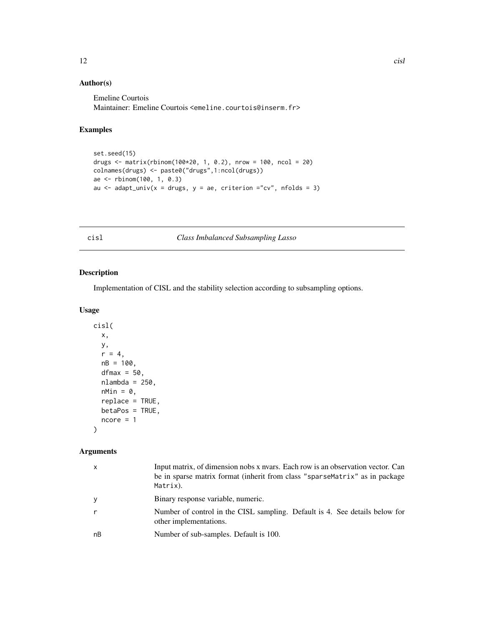# <span id="page-11-0"></span>Author(s)

Emeline Courtois Maintainer: Emeline Courtois <emeline.courtois@inserm.fr>

# Examples

```
set.seed(15)
drugs \le matrix(rbinom(100*20, 1, 0.2), nrow = 100, ncol = 20)
colnames(drugs) <- paste0("drugs",1:ncol(drugs))
ae <- rbinom(100, 1, 0.3)
au \le adapt_univ(x = drugs, y = ae, criterion ="cv", nfolds = 3)
```
cisl *Class Imbalanced Subsampling Lasso*

# Description

Implementation of CISL and the stability selection according to subsampling options.

# Usage

```
cisl(
  x,
  y,
  r = 4,
  nB = 100,
  dfmax = 50,
  nlambda = 250,
  nMin = 0,
  replace = TRUE,
  betaPos = TRUE,
  ncore = 1)
```
# Arguments

| x  | Input matrix, of dimension nobs x nyars. Each row is an observation vector. Can<br>be in sparse matrix format (inherit from class "sparseMatrix" as in package<br>Matrix). |
|----|----------------------------------------------------------------------------------------------------------------------------------------------------------------------------|
| У  | Binary response variable, numeric.                                                                                                                                         |
| r  | Number of control in the CISL sampling. Default is 4. See details below for<br>other implementations.                                                                      |
| nВ | Number of sub-samples. Default is 100.                                                                                                                                     |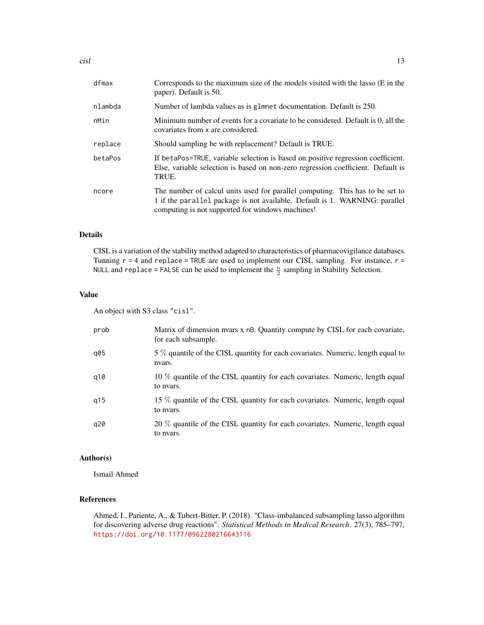| dfmax   | Corresponds to the maximum size of the models visited with the lasso (E in the<br>paper). Default is 50.                                                                                                         |
|---------|------------------------------------------------------------------------------------------------------------------------------------------------------------------------------------------------------------------|
| nlambda | Number of lambda values as is glmnet documentation. Default is 250.                                                                                                                                              |
| nMin    | Minimum number of events for a covariate to be considered. Default is 0, all the<br>covariates from x are considered.                                                                                            |
| replace | Should sampling be with replacement? Default is TRUE.                                                                                                                                                            |
| betaPos | If betaPos=TRUE, variable selection is based on positive regression coefficient.<br>Else, variable selection is based on non-zero regression coefficient. Default is<br>TRUE.                                    |
| ncore   | The number of calcul units used for parallel computing. This has to be set to<br>1 if the parallel package is not available. Default is 1. WARNING: parallel<br>computing is not supported for windows machines! |

#### Details

CISL is a variation of the stability method adapted to characteristics of pharmacovigilance databases. Tunning  $r = 4$  and replace = TRUE are used to implement our CISL sampling. For instance,  $r =$ NULL and replace = FALSE can be used to implement the  $\frac{n}{2}$  sampling in Stability Selection.

#### Value

An object with S3 class "cisl".

| prob | Matrix of dimension nyars x nB. Quantity compute by CISL for each covariate,<br>for each subsample. |
|------|-----------------------------------------------------------------------------------------------------|
| q05  | 5 % quantile of the CISL quantity for each covariates. Numeric, length equal to<br>nvars.           |
| q10  | 10 % quantile of the CISL quantity for each covariates. Numeric, length equal<br>to nyars.          |
| q15  | 15 % quantile of the CISL quantity for each covariates. Numeric, length equal<br>to nyars.          |
| q20  | 20 % quantile of the CISL quantity for each covariates. Numeric, length equal<br>to nyars.          |

#### Author(s)

Ismail Ahmed

# References

Ahmed, I., Pariente, A., & Tubert-Bitter, P. (2018). "Class-imbalanced subsampling lasso algorithm for discovering adverse drug reactions". *Statistical Methods in Medical Research*. 27(3), 785–797, <https://doi.org/10.1177/0962280216643116>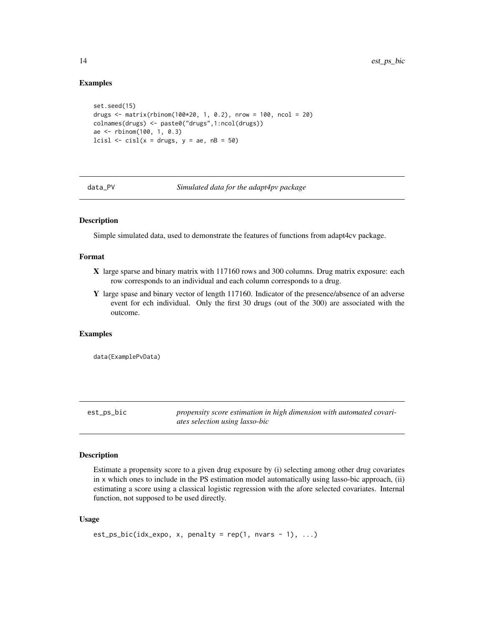#### Examples

```
set.seed(15)
drugs \le matrix(rbinom(100*20, 1, 0.2), nrow = 100, ncol = 20)
colnames(drugs) <- paste0("drugs",1:ncol(drugs))
ae <- rbinom(100, 1, 0.3)
lcisl \le cisl(x = drugs, y = ae, nB = 50)
```
data\_PV *Simulated data for the adapt4pv package*

# Description

Simple simulated data, used to demonstrate the features of functions from adapt4cv package.

# Format

- X large sparse and binary matrix with 117160 rows and 300 columns. Drug matrix exposure: each row corresponds to an individual and each column corresponds to a drug.
- Y large spase and binary vector of length 117160. Indicator of the presence/absence of an adverse event for ech individual. Only the first 30 drugs (out of the 300) are associated with the outcome.

#### Examples

data(ExamplePvData)

est\_ps\_bic *propensity score estimation in high dimension with automated covariates selection using lasso-bic*

# Description

Estimate a propensity score to a given drug exposure by (i) selecting among other drug covariates in x which ones to include in the PS estimation model automatically using lasso-bic approach, (ii) estimating a score using a classical logistic regression with the afore selected covariates. Internal function, not supposed to be used directly.

#### Usage

```
est_ps_bic(idx_expo, x, penalty = rep(1, nvars - 1), ...)
```
<span id="page-13-0"></span>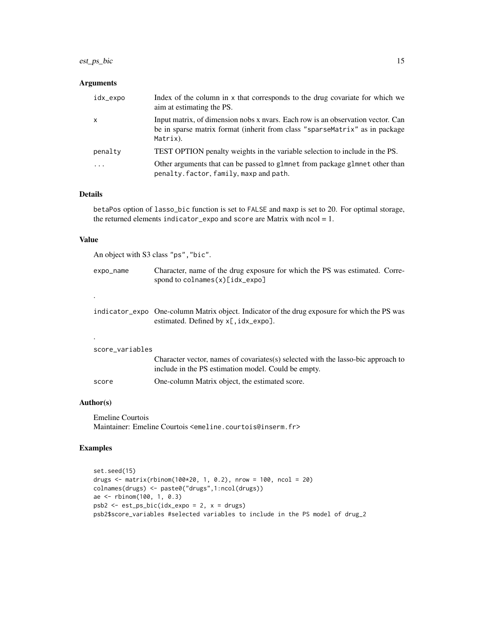# est\_ps\_bic 15

# Arguments

| idx_expo     | Index of the column in x that corresponds to the drug covariate for which we<br>aim at estimating the PS.                                                                  |
|--------------|----------------------------------------------------------------------------------------------------------------------------------------------------------------------------|
| $\mathsf{x}$ | Input matrix, of dimension nobs x nyars. Each row is an observation vector. Can<br>be in sparse matrix format (inherit from class "sparseMatrix" as in package<br>Matrix). |
| penalty      | TEST OPTION penalty weights in the variable selection to include in the PS.                                                                                                |
| .            | Other arguments that can be passed to glmnet from package glmnet other than<br>penalty.factor, family, maxp and path.                                                      |

# Details

betaPos option of lasso\_bic function is set to FALSE and maxp is set to 20. For optimal storage, the returned elements indicator\_expo and score are Matrix with  $ncol = 1$ .

#### Value

An object with S3 class "ps","bic".

| expo_name | Character, name of the drug exposure for which the PS was estimated. Corre-<br>spond to $colnames(x)[idx\_expo]$ |  |
|-----------|------------------------------------------------------------------------------------------------------------------|--|
|           |                                                                                                                  |  |

| indicator_expo One-column Matrix object. Indicator of the drug exposure for which the PS was |
|----------------------------------------------------------------------------------------------|
| estimated. Defined by $x$ [, idx_expo].                                                      |

```
score_variables
```

|       | Character vector, names of covariates(s) selected with the lasso-bic approach to |
|-------|----------------------------------------------------------------------------------|
|       | include in the PS estimation model. Could be empty.                              |
| score | One-column Matrix object, the estimated score.                                   |

# Author(s)

.

Emeline Courtois Maintainer: Emeline Courtois <emeline.courtois@inserm.fr>

# Examples

```
set.seed(15)
drugs <- matrix(rbinom(100*20, 1, 0.2), nrow = 100, ncol = 20)
colnames(drugs) <- paste0("drugs",1:ncol(drugs))
ae <- rbinom(100, 1, 0.3)
psb2 <- est_ps_bic(idx_expo = 2, x = drugs)
psb2$score_variables #selected variables to include in the PS model of drug_2
```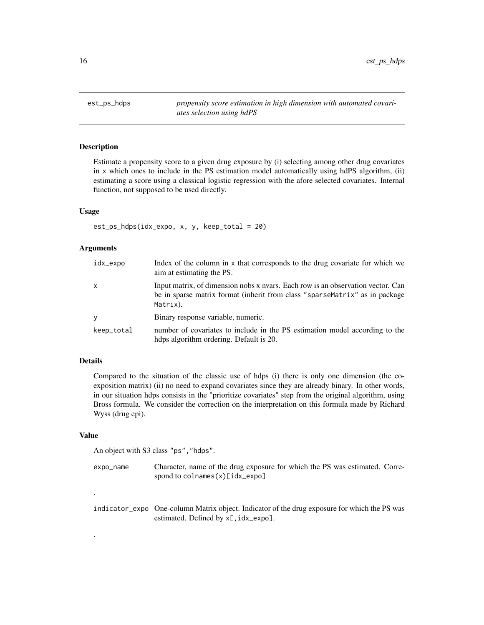<span id="page-15-0"></span>est\_ps\_hdps *propensity score estimation in high dimension with automated covariates selection using hdPS*

#### Description

Estimate a propensity score to a given drug exposure by (i) selecting among other drug covariates in x which ones to include in the PS estimation model automatically using hdPS algorithm, (ii) estimating a score using a classical logistic regression with the afore selected covariates. Internal function, not supposed to be used directly.

#### Usage

est\_ps\_hdps(idx\_expo, x, y, keep\_total = 20)

# **Arguments**

| idx_expo   | Index of the column in x that corresponds to the drug covariate for which we<br>aim at estimating the PS.                                                                  |
|------------|----------------------------------------------------------------------------------------------------------------------------------------------------------------------------|
| X          | Input matrix, of dimension nobs x nyars. Each row is an observation vector. Can<br>be in sparse matrix format (inherit from class "sparseMatrix" as in package<br>Matrix). |
| V          | Binary response variable, numeric.                                                                                                                                         |
| keep_total | number of covariates to include in the PS estimation model according to the<br>hdps algorithm ordering. Default is 20.                                                     |

#### Details

Compared to the situation of the classic use of hdps (i) there is only one dimension (the coexposition matrix) (ii) no need to expand covariates since they are already binary. In other words, in our situation hdps consists in the "prioritize covariates" step from the original algorithm, using Bross formula. We consider the correction on the interpretation on this formula made by Richard Wyss (drug epi).

#### Value

.

.

An object with S3 class "ps", "hdps".

| expo_name | Character, name of the drug exposure for which the PS was estimated. Corre- |
|-----------|-----------------------------------------------------------------------------|
|           | spond to $\text{colnames}(x)[idx\_expo]$                                    |

indicator\_expo One-column Matrix object. Indicator of the drug exposure for which the PS was estimated. Defined by x[, idx\_expo].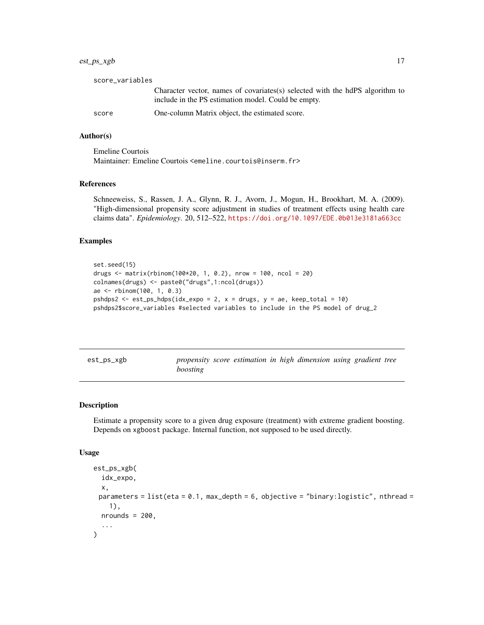# <span id="page-16-0"></span>est\_ps\_xgb 17

| score_variables |                                                                                                                                      |
|-----------------|--------------------------------------------------------------------------------------------------------------------------------------|
|                 | Character vector, names of covariates (s) selected with the hdPS algorithm to<br>include in the PS estimation model. Could be empty. |
| score           | One-column Matrix object, the estimated score.                                                                                       |

#### Author(s)

Emeline Courtois Maintainer: Emeline Courtois <emeline.courtois@inserm.fr>

# References

Schneeweiss, S., Rassen, J. A., Glynn, R. J., Avorn, J., Mogun, H., Brookhart, M. A. (2009). "High-dimensional propensity score adjustment in studies of treatment effects using health care claims data". *Epidemiology*. 20, 512–522, <https://doi.org/10.1097/EDE.0b013e3181a663cc>

#### Examples

```
set.seed(15)
drugs <- matrix(rbinom(100*20, 1, 0.2), nrow = 100, ncol = 20)
colnames(drugs) <- paste0("drugs",1:ncol(drugs))
ae <- rbinom(100, 1, 0.3)
pshdps2 <- est_ps_hdps(idx_expo = 2, x = drugs, y = ae, keep_total = 10)
pshdps2$score_variables #selected variables to include in the PS model of drug_2
```
est\_ps\_xgb *propensity score estimation in high dimension using gradient tree boosting*

# Description

Estimate a propensity score to a given drug exposure (treatment) with extreme gradient boosting. Depends on xgboost package. Internal function, not supposed to be used directly.

#### Usage

```
est_ps_xgb(
  idx_expo,
 x,
 parameters = list(eta = 0.1, max_depth = 6, objective = "binary:logistic", nthread =
    1),
 nrounds = 200,
  ...
)
```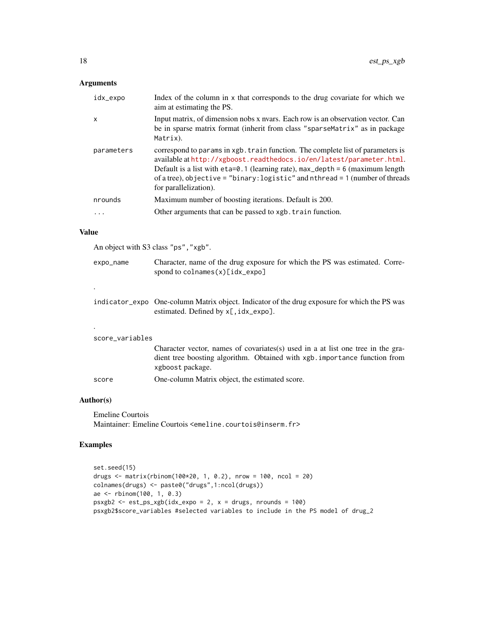# Arguments

| idx_expo     | Index of the column in x that corresponds to the drug covariate for which we<br>aim at estimating the PS.                                                                                                                                                                                                                                                          |
|--------------|--------------------------------------------------------------------------------------------------------------------------------------------------------------------------------------------------------------------------------------------------------------------------------------------------------------------------------------------------------------------|
| $\mathsf{x}$ | Input matrix, of dimension nobs x nyars. Each row is an observation vector. Can<br>be in sparse matrix format (inherit from class "sparseMatrix" as in package<br>Matrix).                                                                                                                                                                                         |
| parameters   | correspond to params in xgb. train function. The complete list of parameters is<br>available at http://xgboost.readthedocs.io/en/latest/parameter.html.<br>Default is a list with $eta=0.1$ (learning rate), $max_{\text{depth}} = 6$ (maximum length<br>of a tree), objective = "binary: $logistic$ " and nthread = 1 (number of threads<br>for parallelization). |
| nrounds      | Maximum number of boosting iterations. Default is 200.                                                                                                                                                                                                                                                                                                             |
| .            | Other arguments that can be passed to xgb. train function.                                                                                                                                                                                                                                                                                                         |
|              |                                                                                                                                                                                                                                                                                                                                                                    |

#### Value

An object with S3 class "ps","xgb".

| expo_name       | Character, name of the drug exposure for which the PS was estimated. Corre-<br>spond to $\text{colnames}(x)[idx\_\text{expo}]$                                                     |
|-----------------|------------------------------------------------------------------------------------------------------------------------------------------------------------------------------------|
| ٠               |                                                                                                                                                                                    |
|                 | indicator_expo One-column Matrix object. Indicator of the drug exposure for which the PS was<br>estimated. Defined by $x$ [, id $x$ _expo].                                        |
|                 |                                                                                                                                                                                    |
| score_variables |                                                                                                                                                                                    |
|                 | Character vector, names of covariates (s) used in a at list one tree in the gra-<br>dient tree boosting algorithm. Obtained with xgb. importance function from<br>xgboost package. |

score One-column Matrix object, the estimated score.

#### Author(s)

Emeline Courtois Maintainer: Emeline Courtois <emeline.courtois@inserm.fr>

# Examples

```
set.seed(15)
drugs <- matrix(rbinom(100*20, 1, 0.2), nrow = 100, ncol = 20)
colnames(drugs) <- paste0("drugs",1:ncol(drugs))
ae <- rbinom(100, 1, 0.3)
psxgb2 <- est_ps_xgb(idx_expo = 2, x = drugs, nrounds = 100)
psxgb2$score_variables #selected variables to include in the PS model of drug_2
```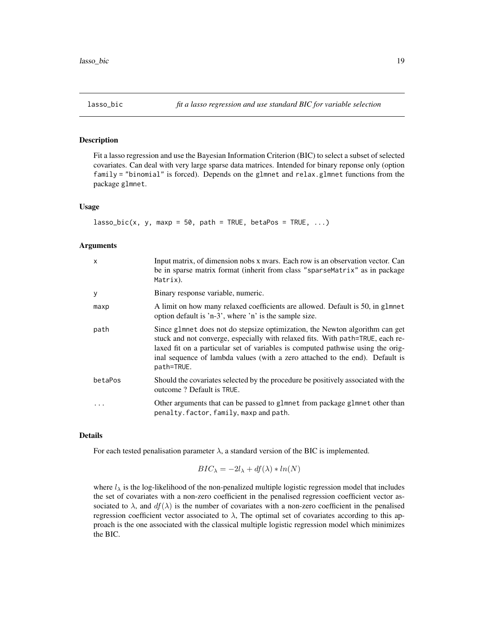<span id="page-18-0"></span>

# Description

Fit a lasso regression and use the Bayesian Information Criterion (BIC) to select a subset of selected covariates. Can deal with very large sparse data matrices. Intended for binary reponse only (option family = "binomial" is forced). Depends on the glmnet and relax.glmnet functions from the package glmnet.

#### Usage

```
lasso\_bic(x, y, maxp = 50, path = TRUE, betaPos = TRUE, ...)
```
#### Arguments

| $\boldsymbol{\mathsf{x}}$ | Input matrix, of dimension nobs x nyars. Each row is an observation vector. Can<br>be in sparse matrix format (inherit from class "sparseMatrix" as in package<br>Matrix).                                                                                                                                                                      |
|---------------------------|-------------------------------------------------------------------------------------------------------------------------------------------------------------------------------------------------------------------------------------------------------------------------------------------------------------------------------------------------|
| y                         | Binary response variable, numeric.                                                                                                                                                                                                                                                                                                              |
| maxp                      | A limit on how many relaxed coefficients are allowed. Default is 50, in g1mnet<br>option default is 'n-3', where 'n' is the sample size.                                                                                                                                                                                                        |
| path                      | Since glmnet does not do stepsize optimization, the Newton algorithm can get<br>stuck and not converge, especially with relaxed fits. With path=TRUE, each re-<br>laxed fit on a particular set of variables is computed pathwise using the orig-<br>inal sequence of lambda values (with a zero attached to the end). Default is<br>path=TRUE. |
| betaPos                   | Should the covariates selected by the procedure be positively associated with the<br>outcome? Default is TRUE.                                                                                                                                                                                                                                  |
| .                         | Other arguments that can be passed to glmnet from package glmnet other than<br>penalty.factor, family, maxp and path.                                                                                                                                                                                                                           |

#### Details

For each tested penalisation parameter  $\lambda$ , a standard version of the BIC is implemented.

$$
BIC_{\lambda} = -2l_{\lambda} + df(\lambda) * ln(N)
$$

where  $l_{\lambda}$  is the log-likelihood of the non-penalized multiple logistic regression model that includes the set of covariates with a non-zero coefficient in the penalised regression coefficient vector associated to  $\lambda$ , and  $df(\lambda)$  is the number of covariates with a non-zero coefficient in the penalised regression coefficient vector associated to  $\lambda$ , The optimal set of covariates according to this approach is the one associated with the classical multiple logistic regression model which minimizes the BIC.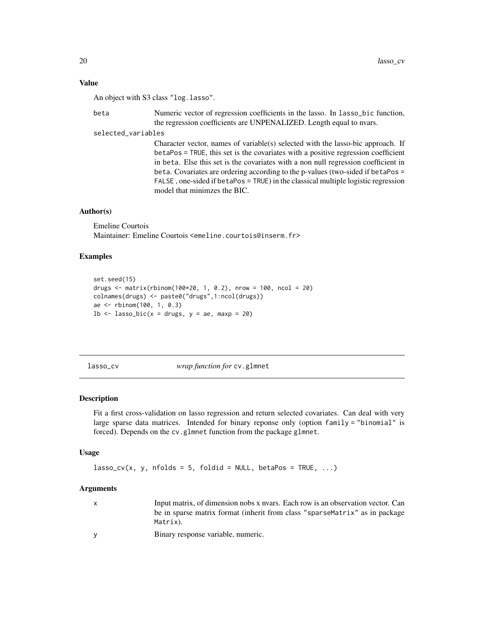# <span id="page-19-0"></span>Value

An object with S3 class "log.lasso".

beta Numeric vector of regression coefficients in the lasso. In lasso\_bic function, the regression coefficients are UNPENALIZED. Length equal to nvars.

selected\_variables

Character vector, names of variable(s) selected with the lasso-bic approach. If betaPos = TRUE, this set is the covariates with a positive regression coefficient in beta. Else this set is the covariates with a non null regression coefficient in beta. Covariates are ordering according to the p-values (two-sided if betaPos = FALSE , one-sided if betaPos = TRUE) in the classical multiple logistic regression model that minimzes the BIC.

#### Author(s)

Emeline Courtois Maintainer: Emeline Courtois <emeline.courtois@inserm.fr>

## Examples

```
set.seed(15)
drugs \le matrix(rbinom(100*20, 1, 0.2), nrow = 100, ncol = 20)
colnames(drugs) <- paste0("drugs",1:ncol(drugs))
ae <- rbinom(100, 1, 0.3)
1b \leq - lasso_bic(x = drugs, y = ae, maxp = 20)
```
lasso\_cv *wrap function for* cv.glmnet

#### **Description**

Fit a first cross-validation on lasso regression and return selected covariates. Can deal with very large sparse data matrices. Intended for binary reponse only (option  $f$ amily = "binomial" is forced). Depends on the cv.glmnet function from the package glmnet.

#### Usage

 $lasso_cv(x, y, nfollow = 5, foldid = NULL, betaPos = TRUE, ...)$ 

#### Arguments

| $\mathbf{x}$ | Input matrix, of dimension nobs x nyars. Each row is an observation vector. Can |
|--------------|---------------------------------------------------------------------------------|
|              | be in sparse matrix format (inherit from class "sparseMatrix" as in package     |
|              | Matrix).                                                                        |

y Binary response variable, numeric.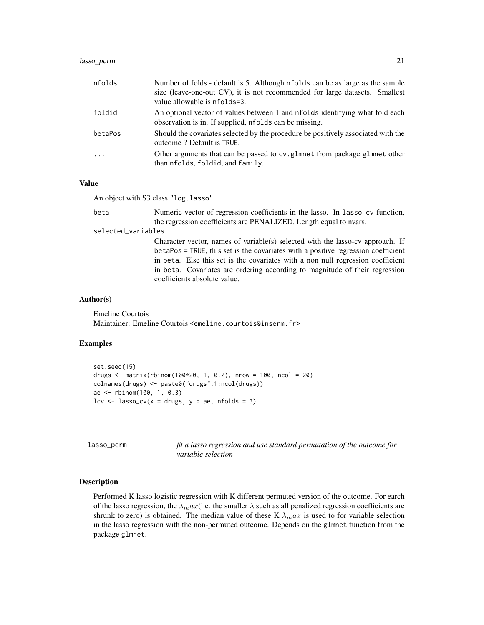# <span id="page-20-0"></span>lasso\_perm 21

| nfolds  | Number of folds - default is 5. Although nfolds can be as large as the sample<br>size (leave-one-out CV), it is not recommended for large datasets. Smallest<br>value allowable is nfolds=3. |
|---------|----------------------------------------------------------------------------------------------------------------------------------------------------------------------------------------------|
| foldid  | An optional vector of values between 1 and nfolds identifying what fold each<br>observation is in. If supplied, nfolds can be missing.                                                       |
| betaPos | Should the covariates selected by the procedure be positively associated with the<br>outcome? Default is TRUE.                                                                               |
| $\cdot$ | Other arguments that can be passed to cv.glmnet from package glmnet other<br>than nfolds, foldid, and family.                                                                                |

#### Value

An object with S3 class "log.lasso".

beta Numeric vector of regression coefficients in the lasso. In lasso\_cv function, the regression coefficients are PENALIZED. Length equal to nvars.

#### selected\_variables

Character vector, names of variable(s) selected with the lasso-cv approach. If betaPos = TRUE, this set is the covariates with a positive regression coefficient in beta. Else this set is the covariates with a non null regression coefficient in beta. Covariates are ordering according to magnitude of their regression coefficients absolute value.

#### Author(s)

Emeline Courtois Maintainer: Emeline Courtois <emeline.courtois@inserm.fr>

#### Examples

```
set.seed(15)
drugs <- matrix(rbinom(100*20, 1, 0.2), nrow = 100, ncol = 20)
colnames(drugs) <- paste0("drugs",1:ncol(drugs))
ae <- rbinom(100, 1, 0.3)
lev \leq lasso_cv(x = drugs, y = ae, n folds = 3)
```

| lasso_perm | fit a lasso regression and use standard permutation of the outcome for |
|------------|------------------------------------------------------------------------|
|            | variable selection                                                     |

#### **Description**

Performed K lasso logistic regression with K different permuted version of the outcome. For earch of the lasso regression, the  $\lambda_{m}ax$  (i.e. the smaller  $\lambda$  such as all penalized regression coefficients are shrunk to zero) is obtained. The median value of these K  $\lambda_{max}$  is used to for variable selection in the lasso regression with the non-permuted outcome. Depends on the glmnet function from the package glmnet.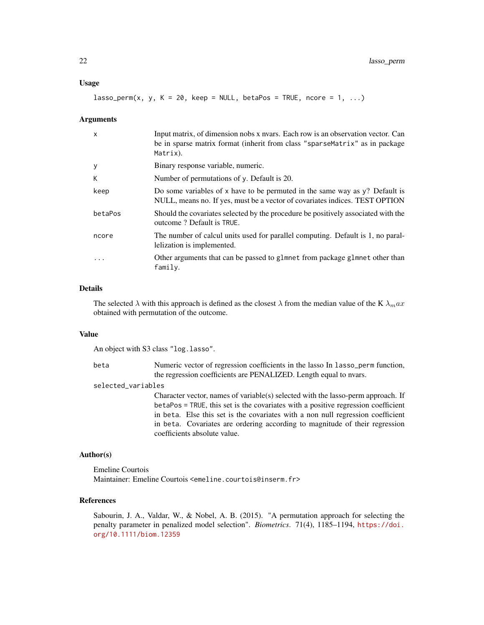#### Usage

 $lasso\_perm(x, y, K = 20, keep = NULL, betaPos = TRUE, noc = 1, ...)$ 

#### Arguments

| $\mathsf{x}$ | Input matrix, of dimension nobs x nvars. Each row is an observation vector. Can<br>be in sparse matrix format (inherit from class "sparseMatrix" as in package<br>Matrix). |
|--------------|----------------------------------------------------------------------------------------------------------------------------------------------------------------------------|
| У            | Binary response variable, numeric.                                                                                                                                         |
| К            | Number of permutations of y. Default is 20.                                                                                                                                |
| keep         | Do some variables of x have to be permuted in the same way as $y$ ? Default is<br>NULL, means no. If yes, must be a vector of covariates indices. TEST OPTION              |
| betaPos      | Should the covariates selected by the procedure be positively associated with the<br>outcome? Default is TRUE.                                                             |
| ncore        | The number of calcul units used for parallel computing. Default is 1, no paral-<br>lelization is implemented.                                                              |
| .            | Other arguments that can be passed to glmnet from package glmnet other than<br>family.                                                                                     |

# Details

The selected  $\lambda$  with this approach is defined as the closest  $\lambda$  from the median value of the K  $\lambda_{m}ax$ obtained with permutation of the outcome.

# Value

An object with S3 class "log.lasso".

beta Numeric vector of regression coefficients in the lasso In lasso\_perm function, the regression coefficients are PENALIZED. Length equal to nvars.

# selected\_variables

Character vector, names of variable(s) selected with the lasso-perm approach. If betaPos = TRUE, this set is the covariates with a positive regression coefficient in beta. Else this set is the covariates with a non null regression coefficient in beta. Covariates are ordering according to magnitude of their regression coefficients absolute value.

# Author(s)

Emeline Courtois Maintainer: Emeline Courtois <emeline.courtois@inserm.fr>

#### References

Sabourin, J. A., Valdar, W., & Nobel, A. B. (2015). "A permutation approach for selecting the penalty parameter in penalized model selection". *Biometrics*. 71(4), 1185–1194, [https://doi.](https://doi.org/10.1111/biom.12359) [org/10.1111/biom.12359](https://doi.org/10.1111/biom.12359)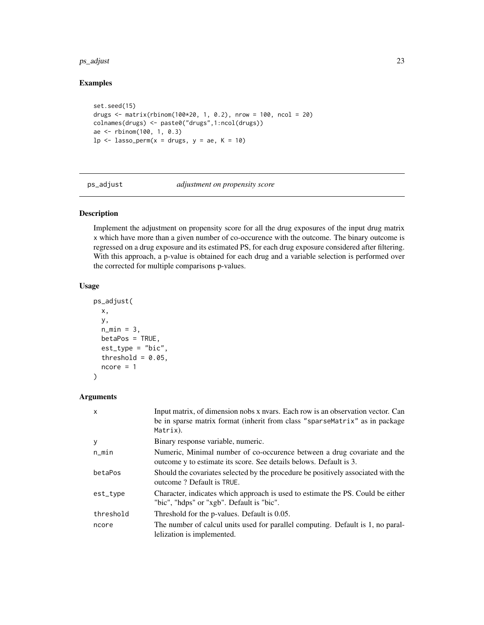#### <span id="page-22-0"></span> $p$ s\_adjust 23

# Examples

```
set.seed(15)
drugs \le matrix(rbinom(100*20, 1, 0.2), nrow = 100, ncol = 20)
colnames(drugs) <- paste0("drugs",1:ncol(drugs))
ae <- rbinom(100, 1, 0.3)
lp \leftarrow lasso\_perm(x = drugs, y = ae, K = 10)
```
ps\_adjust *adjustment on propensity score*

# Description

Implement the adjustment on propensity score for all the drug exposures of the input drug matrix x which have more than a given number of co-occurence with the outcome. The binary outcome is regressed on a drug exposure and its estimated PS, for each drug exposure considered after filtering. With this approach, a p-value is obtained for each drug and a variable selection is performed over the corrected for multiple comparisons p-values.

# Usage

```
ps_adjust(
 x,
 y,
 n_{min} = 3,
 betaPos = TRUE,est_type = "bic",
  threshold = 0.05,
 ncore = 1)
```
# Arguments

| X         | Input matrix, of dimension nobs x nyars. Each row is an observation vector. Can<br>be in sparse matrix format (inherit from class "sparseMatrix" as in package<br>Matrix). |
|-----------|----------------------------------------------------------------------------------------------------------------------------------------------------------------------------|
| y         | Binary response variable, numeric.                                                                                                                                         |
| n_min     | Numeric, Minimal number of co-occurence between a drug covariate and the<br>outcome y to estimate its score. See details belows. Default is 3.                             |
| betaPos   | Should the covariates selected by the procedure be positively associated with the<br>outcome? Default is TRUE.                                                             |
| est_type  | Character, indicates which approach is used to estimate the PS. Could be either<br>"bic", "hdps" or "xgb". Default is "bic".                                               |
| threshold | Threshold for the p-values. Default is 0.05.                                                                                                                               |
| ncore     | The number of calcul units used for parallel computing. Default is 1, no paral-<br>lelization is implemented.                                                              |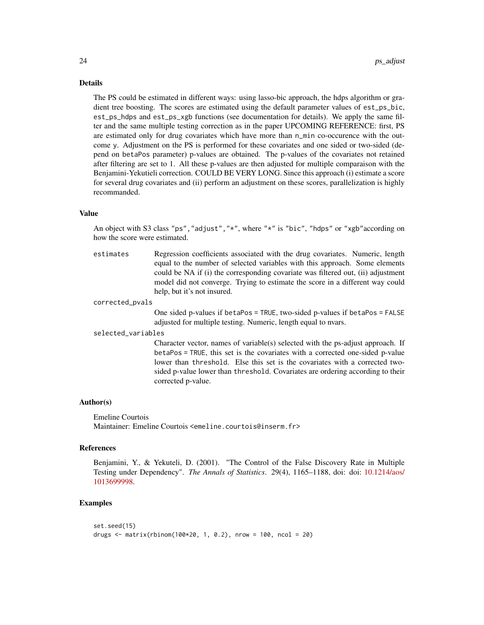#### Details

The PS could be estimated in different ways: using lasso-bic approach, the hdps algorithm or gradient tree boosting. The scores are estimated using the default parameter values of est\_ps\_bic, est\_ps\_hdps and est\_ps\_xgb functions (see documentation for details). We apply the same filter and the same multiple testing correction as in the paper UPCOMING REFERENCE: first, PS are estimated only for drug covariates which have more than n\_min co-occurence with the outcome y. Adjustment on the PS is performed for these covariates and one sided or two-sided (depend on betaPos parameter) p-values are obtained. The p-values of the covariates not retained after filtering are set to 1. All these p-values are then adjusted for multiple comparaison with the Benjamini-Yekutieli correction. COULD BE VERY LONG. Since this approach (i) estimate a score for several drug covariates and (ii) perform an adjustment on these scores, parallelization is highly recommanded.

# Value

An object with S3 class "ps","adjust","\*", where "\*" is "bic", "hdps" or "xgb"according on how the score were estimated.

estimates Regression coefficients associated with the drug covariates. Numeric, length equal to the number of selected variables with this approach. Some elements could be NA if (i) the corresponding covariate was filtered out, (ii) adjustment model did not converge. Trying to estimate the score in a different way could help, but it's not insured.

#### corrected\_pvals

One sided p-values if betaPos = TRUE, two-sided p-values if betaPos = FALSE adjusted for multiple testing. Numeric, length equal to nvars.

selected\_variables

Character vector, names of variable(s) selected with the ps-adjust approach. If betaPos = TRUE, this set is the covariates with a corrected one-sided p-value lower than threshold. Else this set is the covariates with a corrected twosided p-value lower than threshold. Covariates are ordering according to their corrected p-value.

## Author(s)

Emeline Courtois Maintainer: Emeline Courtois <emeline.courtois@inserm.fr>

#### References

Benjamini, Y., & Yekuteli, D. (2001). "The Control of the False Discovery Rate in Multiple Testing under Dependency". *The Annals of Statistics*. 29(4), 1165–1188, doi: doi: [10.1214/aos/](https://doi.org/10.1214/aos/1013699998) [1013699998.](https://doi.org/10.1214/aos/1013699998)

#### Examples

```
set.seed(15)
drugs <- matrix(rbinom(100*20, 1, 0.2), nrow = 100, ncol = 20)
```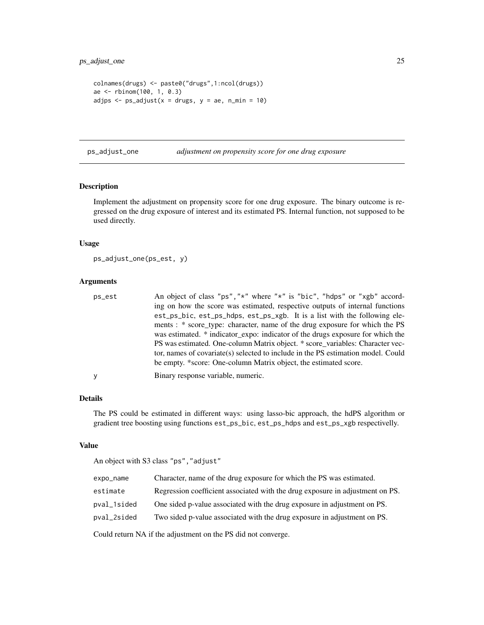```
colnames(drugs) <- paste0("drugs",1:ncol(drugs))
ae <- rbinom(100, 1, 0.3)
adjps \leq ps_adjust(x = drugs, y = ae, n_min = 10)
```
ps\_adjust\_one *adjustment on propensity score for one drug exposure*

#### Description

Implement the adjustment on propensity score for one drug exposure. The binary outcome is regressed on the drug exposure of interest and its estimated PS. Internal function, not supposed to be used directly.

# Usage

ps\_adjust\_one(ps\_est, y)

#### Arguments

| ps_est | An object of class "ps", "*" where "*" is "bic", "hdps" or "xgb" accord-         |
|--------|----------------------------------------------------------------------------------|
|        | ing on how the score was estimated, respective outputs of internal functions     |
|        | est_ps_bic, est_ps_hdps, est_ps_xgb. It is a list with the following ele-        |
|        | ments: * score_type: character, name of the drug exposure for which the PS       |
|        | was estimated. * indicator_expo: indicator of the drugs exposure for which the   |
|        | PS was estimated. One-column Matrix object. * score_variables: Character vec-    |
|        | tor, names of covariate(s) selected to include in the PS estimation model. Could |
|        | be empty. *score: One-column Matrix object, the estimated score.                 |
| У      | Binary response variable, numeric.                                               |

#### Details

The PS could be estimated in different ways: using lasso-bic approach, the hdPS algorithm or gradient tree boosting using functions est\_ps\_bic, est\_ps\_hdps and est\_ps\_xgb respectivelly.

#### Value

An object with S3 class "ps","adjust"

| expo_name                                                        | Character, name of the drug exposure for which the PS was estimated.          |
|------------------------------------------------------------------|-------------------------------------------------------------------------------|
| estimate                                                         | Regression coefficient associated with the drug exposure in adjustment on PS. |
| pval_1sided                                                      | One sided p-value associated with the drug exposure in adjustment on PS.      |
| pval_2sided                                                      | Two sided p-value associated with the drug exposure in adjustment on PS.      |
| Could return $NA$ if the adjustment on the $DC$ did not converge |                                                                               |

Could return NA if the adjustment on the PS did not converge.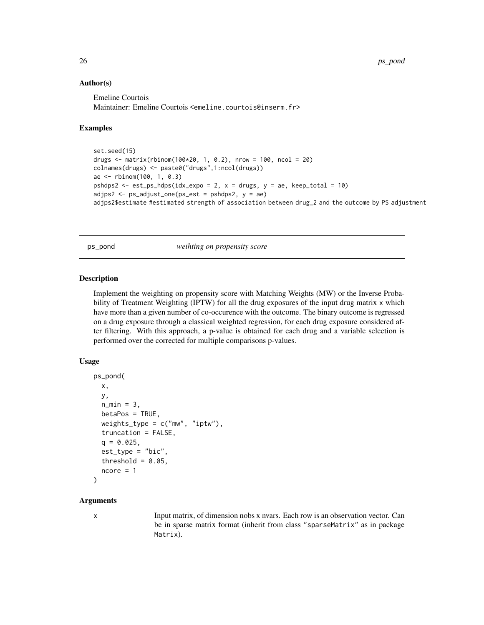#### Author(s)

Emeline Courtois Maintainer: Emeline Courtois <emeline.courtois@inserm.fr>

#### Examples

```
set.seed(15)
drugs <- matrix(rbinom(100*20, 1, 0.2), nrow = 100, ncol = 20)
colnames(drugs) <- paste0("drugs",1:ncol(drugs))
ae <- rbinom(100, 1, 0.3)
pshdps2 <- est_ps_hdps(idx_expo = 2, x = dr ugs, y = ae, keep_total = 10)
adjps2 <- ps_adjust_one(ps_est = pshdps2, y = ae)
adjps2$estimate #estimated strength of association between drug_2 and the outcome by PS adjustment
```
ps\_pond *weihting on propensity score*

#### **Description**

Implement the weighting on propensity score with Matching Weights (MW) or the Inverse Probability of Treatment Weighting (IPTW) for all the drug exposures of the input drug matrix x which have more than a given number of co-occurence with the outcome. The binary outcome is regressed on a drug exposure through a classical weighted regression, for each drug exposure considered after filtering. With this approach, a p-value is obtained for each drug and a variable selection is performed over the corrected for multiple comparisons p-values.

#### Usage

```
ps_pond(
 x,
 y,
 n_{min} = 3,
 betaPos = TRUE,weights_type = c("mw", "iptw"),truncation = FALSE,
  q = 0.025,
  est_type = "bic",
  threshold = 0.05,
  ncore = 1)
```
#### **Arguments**

x Input matrix, of dimension nobs x nvars. Each row is an observation vector. Can be in sparse matrix format (inherit from class "sparseMatrix" as in package Matrix).

<span id="page-25-0"></span>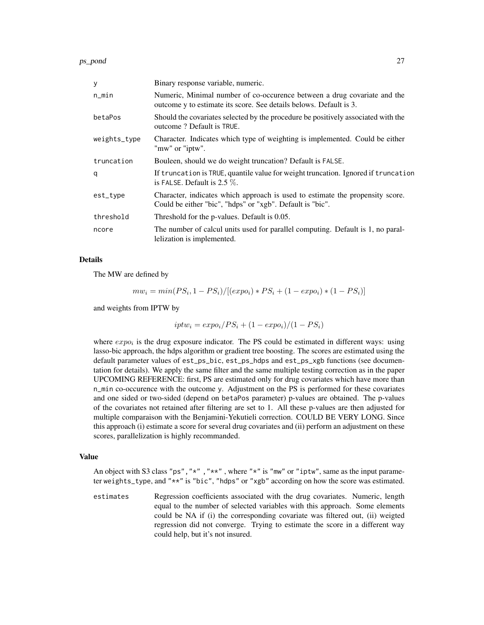ps\_pond 27

| y            | Binary response variable, numeric.                                                                                                             |
|--------------|------------------------------------------------------------------------------------------------------------------------------------------------|
| n_min        | Numeric, Minimal number of co-occurence between a drug covariate and the<br>outcome y to estimate its score. See details belows. Default is 3. |
| betaPos      | Should the covariates selected by the procedure be positively associated with the<br>outcome? Default is TRUE.                                 |
| weights_type | Character. Indicates which type of weighting is implemented. Could be either<br>"mw" or "iptw".                                                |
| truncation   | Bouleen, should we do weight truncation? Default is FALSE.                                                                                     |
| q            | If truncation is TRUE, quantile value for weight truncation. Ignored if truncation<br>is FALSE. Default is $2.5\%$ .                           |
| est_type     | Character, indicates which approach is used to estimate the propensity score.<br>Could be either "bic", "hdps" or "xgb". Default is "bic".     |
| threshold    | Threshold for the p-values. Default is 0.05.                                                                                                   |
| ncore        | The number of calcul units used for parallel computing. Default is 1, no paral-<br>lelization is implemented.                                  |

# Details

The MW are defined by

$$
mw_i = min(PS_i, 1 - PS_i)/[(expo_i) * PS_i + (1 - expo_i) * (1 - PS_i)]
$$

and weights from IPTW by

$$
iptw_i = expo_i/PS_i + (1 - expo_i)/(1 - PS_i)
$$

where  $expo_i$  is the drug exposure indicator. The PS could be estimated in different ways: using lasso-bic approach, the hdps algorithm or gradient tree boosting. The scores are estimated using the default parameter values of est\_ps\_bic, est\_ps\_hdps and est\_ps\_xgb functions (see documentation for details). We apply the same filter and the same multiple testing correction as in the paper UPCOMING REFERENCE: first, PS are estimated only for drug covariates which have more than n\_min co-occurence with the outcome y. Adjustment on the PS is performed for these covariates and one sided or two-sided (depend on betaPos parameter) p-values are obtained. The p-values of the covariates not retained after filtering are set to 1. All these p-values are then adjusted for multiple comparaison with the Benjamini-Yekutieli correction. COULD BE VERY LONG. Since this approach (i) estimate a score for several drug covariates and (ii) perform an adjustment on these scores, parallelization is highly recommanded.

# Value

An object with S3 class "ps", " $\star$ ", " $\star$ ", where " $\star$ " is "mw" or "iptw", same as the input parameter weights\_type, and "\*\*" is "bic", "hdps" or "xgb" according on how the score was estimated.

estimates Regression coefficients associated with the drug covariates. Numeric, length equal to the number of selected variables with this approach. Some elements could be NA if (i) the corresponding covariate was filtered out, (ii) weigted regression did not converge. Trying to estimate the score in a different way could help, but it's not insured.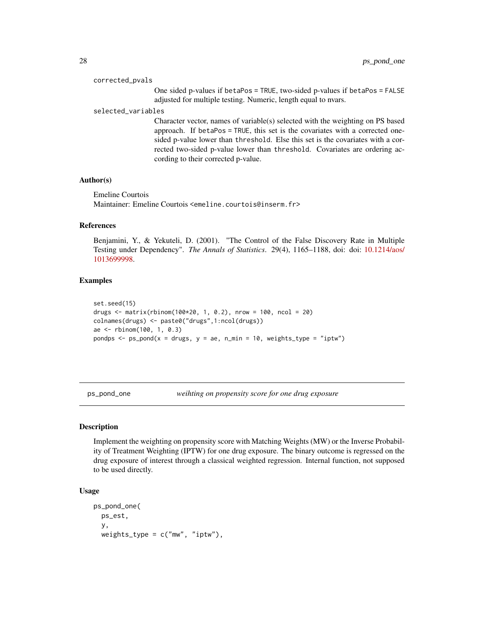#### <span id="page-27-0"></span>corrected\_pvals

One sided p-values if betaPos = TRUE, two-sided p-values if betaPos = FALSE adjusted for multiple testing. Numeric, length equal to nvars.

#### selected\_variables

Character vector, names of variable(s) selected with the weighting on PS based approach. If betaPos = TRUE, this set is the covariates with a corrected onesided p-value lower than threshold. Else this set is the covariates with a corrected two-sided p-value lower than threshold. Covariates are ordering according to their corrected p-value.

#### Author(s)

Emeline Courtois Maintainer: Emeline Courtois <emeline.courtois@inserm.fr>

# References

Benjamini, Y., & Yekuteli, D. (2001). "The Control of the False Discovery Rate in Multiple Testing under Dependency". *The Annals of Statistics*. 29(4), 1165–1188, doi: doi: [10.1214/aos/](https://doi.org/10.1214/aos/1013699998) [1013699998.](https://doi.org/10.1214/aos/1013699998)

#### Examples

```
set.seed(15)
drugs <- matrix(rbinom(100*20, 1, 0.2), nrow = 100, ncol = 20)
colnames(drugs) <- paste0("drugs",1:ncol(drugs))
ae <- rbinom(100, 1, 0.3)
pondps \leq ps_pond(x = drugs, y = ae, n_min = 10, weights_type = "iptw")
```
ps\_pond\_one *weihting on propensity score for one drug exposure*

#### **Description**

Implement the weighting on propensity score with Matching Weights (MW) or the Inverse Probability of Treatment Weighting (IPTW) for one drug exposure. The binary outcome is regressed on the drug exposure of interest through a classical weighted regression. Internal function, not supposed to be used directly.

#### Usage

```
ps_pond_one(
  ps_est,
  y,
  weights_type = c("mw", "iptw"),
```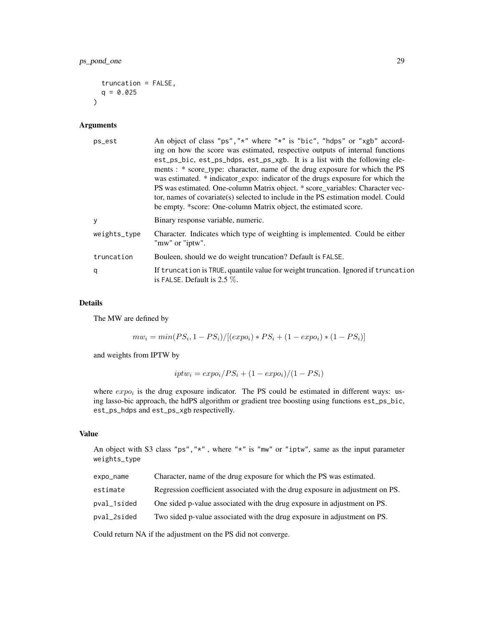```
truncation = FALSE,
  q = 0.025\lambda
```
# Arguments

| ps_est       | An object of class "ps", "*" where "*" is "bic", "hdps" or "xgb" accord-<br>ing on how the score was estimated, respective outputs of internal functions<br>est_ps_bic, est_ps_hdps, est_ps_xgb. It is a list with the following ele-<br>ments: * score_type: character, name of the drug exposure for which the PS<br>was estimated. * indicator_expo: indicator of the drugs exposure for which the<br>PS was estimated. One-column Matrix object. * score_variables: Character vec-<br>tor, names of covariate(s) selected to include in the PS estimation model. Could<br>be empty. *score: One-column Matrix object, the estimated score. |
|--------------|------------------------------------------------------------------------------------------------------------------------------------------------------------------------------------------------------------------------------------------------------------------------------------------------------------------------------------------------------------------------------------------------------------------------------------------------------------------------------------------------------------------------------------------------------------------------------------------------------------------------------------------------|
| y            | Binary response variable, numeric.                                                                                                                                                                                                                                                                                                                                                                                                                                                                                                                                                                                                             |
| weights_type | Character. Indicates which type of weighting is implemented. Could be either<br>"mw" or "iptw".                                                                                                                                                                                                                                                                                                                                                                                                                                                                                                                                                |
| truncation   | Bouleen, should we do weight truncation? Default is FALSE.                                                                                                                                                                                                                                                                                                                                                                                                                                                                                                                                                                                     |
| q            | If truncation is TRUE, quantile value for weight truncation. Ignored if truncation<br>is FALSE. Default is $2.5\%$ .                                                                                                                                                                                                                                                                                                                                                                                                                                                                                                                           |

# Details

The MW are defined by

$$
mw_i = min(PS_i, 1 - PS_i)/[(expo_i) * PS_i + (1 - expo_i) * (1 - PS_i)]
$$

and weights from IPTW by

$$
iptw_i = expo_i/PS_i + (1 - expo_i)/(1 - PS_i)
$$

where  $expo_i$  is the drug exposure indicator. The PS could be estimated in different ways: using lasso-bic approach, the hdPS algorithm or gradient tree boosting using functions est\_ps\_bic, est\_ps\_hdps and est\_ps\_xgb respectivelly.

# Value

An object with S3 class "ps", "\*", where "\*" is "mw" or "iptw", same as the input parameter weights\_type

| expo_name                                                  | Character, name of the drug exposure for which the PS was estimated.          |  |
|------------------------------------------------------------|-------------------------------------------------------------------------------|--|
| estimate                                                   | Regression coefficient associated with the drug exposure in adjustment on PS. |  |
| pval_1sided                                                | One sided p-value associated with the drug exposure in adjustment on PS.      |  |
| pval_2sided                                                | Two sided p-value associated with the drug exposure in adjustment on PS.      |  |
| $C = \begin{bmatrix} 1 & 1 & 1 \\ 1 & 1 & 1 \end{bmatrix}$ |                                                                               |  |

Could return NA if the adjustment on the PS did not converge.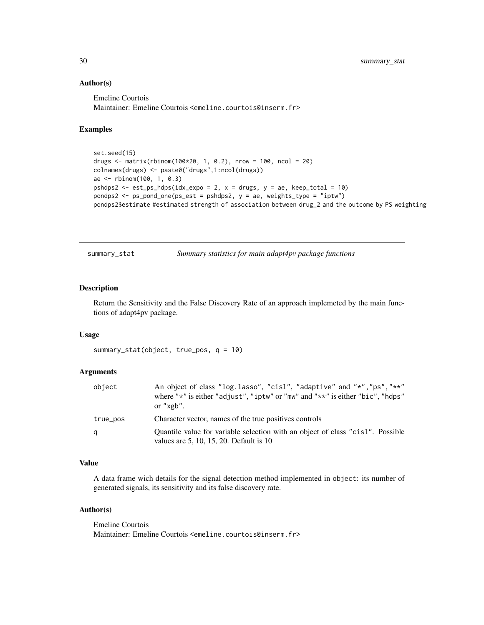#### Author(s)

Emeline Courtois Maintainer: Emeline Courtois <emeline.courtois@inserm.fr>

# Examples

```
set.seed(15)
drugs <- matrix(rbinom(100*20, 1, 0.2), nrow = 100, ncol = 20)
colnames(drugs) <- paste0("drugs",1:ncol(drugs))
ae <- rbinom(100, 1, 0.3)
pshdps2 <- est_ps_hdps(idx_expo = 2, x = drugs, y = ae, keep_total = 10)
pondps2 <- ps_pond_one(ps_est = pshdps2, y = ae, weights_type = "iptw")
pondps2$estimate #estimated strength of association between drug_2 and the outcome by PS weighting
```
summary\_stat *Summary statistics for main adapt4pv package functions*

# Description

Return the Sensitivity and the False Discovery Rate of an approach implemeted by the main functions of adapt4pv package.

#### Usage

```
summary_stat(object, true_pos, q = 10)
```
#### Arguments

| object   | An object of class "log.lasso", "cisl", "adaptive" and "*", "ps", "**"<br>where " $\star$ " is either "adjust", "iptw" or "mw" and " $\star\star$ " is either "bic", "hdps"<br>or " $xgb$ ". |
|----------|----------------------------------------------------------------------------------------------------------------------------------------------------------------------------------------------|
| true_pos | Character vector, names of the true positives controls                                                                                                                                       |
| q        | Quantile value for variable selection with an object of class "cisl". Possible<br>values are $5, 10, 15, 20$ . Default is $10$                                                               |

#### Value

A data frame wich details for the signal detection method implemented in object: its number of generated signals, its sensitivity and its false discovery rate.

#### Author(s)

Emeline Courtois Maintainer: Emeline Courtois <emeline.courtois@inserm.fr>

<span id="page-29-0"></span>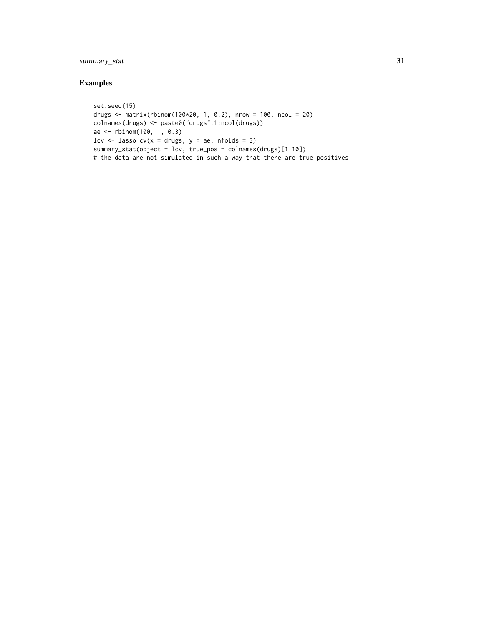# summary\_stat 31

# Examples

```
set.seed(15)
drugs \le matrix(rbinom(100*20, 1, 0.2), nrow = 100, ncol = 20)
colnames(drugs) <- paste0("drugs",1:ncol(drugs))
ae <- rbinom(100, 1, 0.3)
lcv \leftarrow lasso_cv(x = drugs, y = ae, n folds = 3)summary_stat(object = lcv, true_pos = colnames(drugs)[1:10])
# the data are not simulated in such a way that there are true positives
```